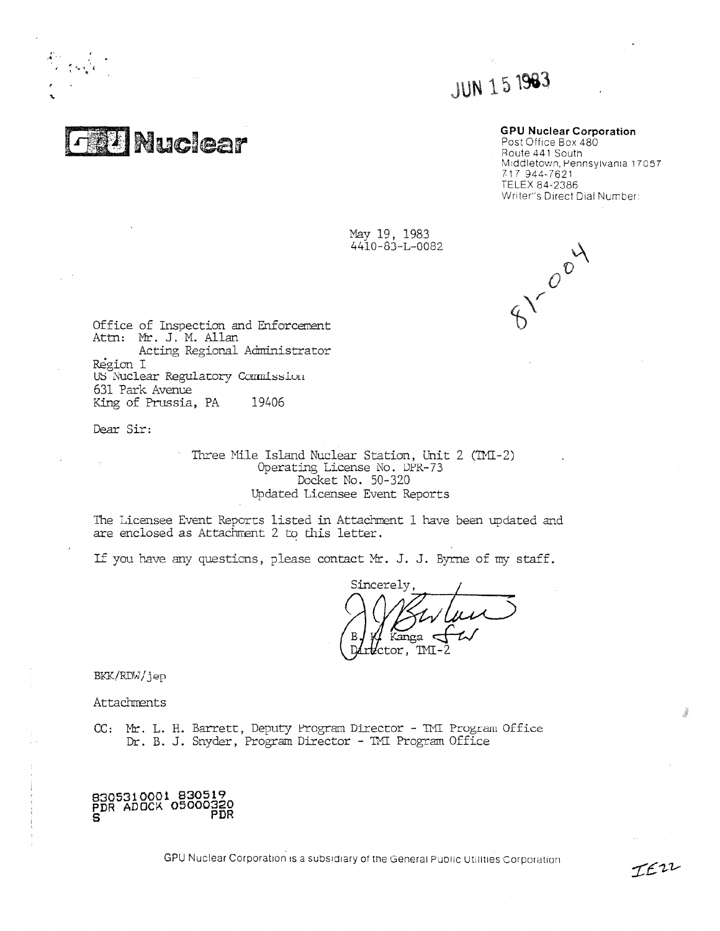GPU Nuclear Corporation GPU Nuclear Corporation Corporation Capital Scribing Post Office Box 480

*p* .

 $\sim$  1  $\alpha$ A

r

# **JUN 15 1983**

 $v^{\text{out}}$ 

Route 441 South Middletown, Pennsylvania 17057 717 944-7621 TELEX 84-2386 Writer's Direct Dial Number:

in 1911.

IEZZ

May 19, 1983 4410-83-L-0082



Dear Sir:

Three Mile Island Nuclear Station, Unit 2 (ThI-2) Operating License No. DPR-73 Docket No. 50-320 Updated Licensee Event Reports

The Licensee Event Reports listed in Attachment 1 have been updated and are enclosed as Attachment 2 to this letter.

If you have any questions, please contact Mr. J. J. Byrne of my staff.

Sincerely l De **Y** Kanga<br>Ctor. T  $TMT -$ 

BKK/RDW/jep

Attachments

, ,

CC: Mr. L. H. Barrett, Deputy Frogram Director - TMI Program Office Dr. B. J. Snyder, Program Director - TMI Program Office

8305310001 830519 PDR ADOCK **i** S<sup>hit</sup> *PDR* 

GPU Nuclear Corporation is a subsidiary of the General Public Utilities Corporation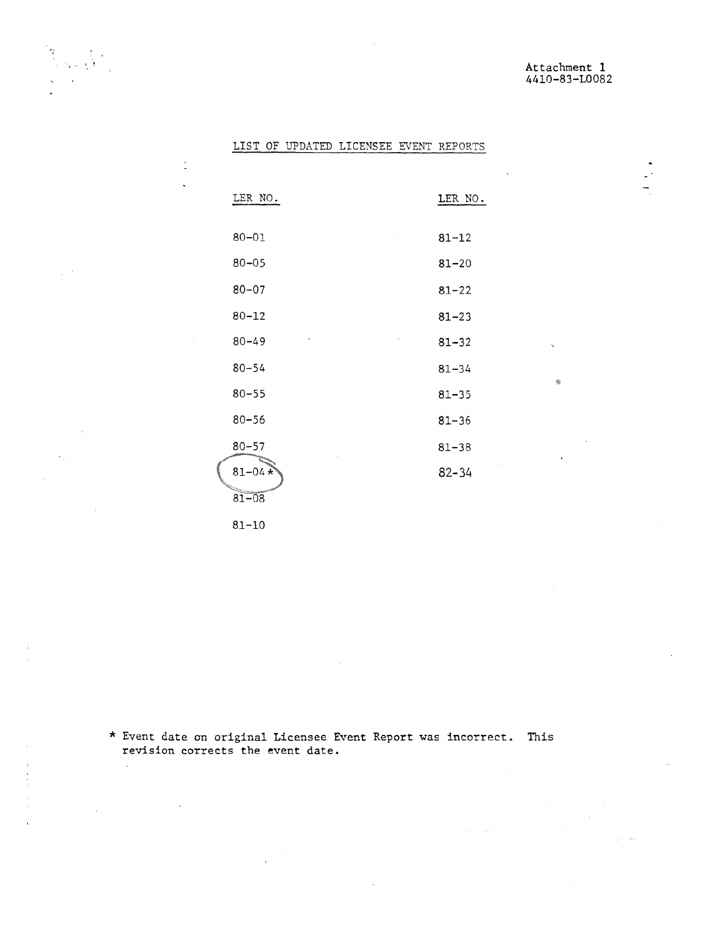4

 $\frac{1}{2}$ \_

# LIST OF UPDATED LICENSEE EVENT REPORTS

| LER NO.    | LER NO.   |
|------------|-----------|
|            |           |
| $80 - 01$  | $81 - 12$ |
| $80 - 05$  | $81 - 20$ |
| $80 - 07$  | $81 - 22$ |
| $80 - 12$  | $81 - 23$ |
| $80 - 49$  | $81 - 32$ |
| $80 - 54$  | $81 - 34$ |
| $80 - 55$  | $81 - 35$ |
| $80 - 56$  | $81 - 36$ |
| $80 - 57$  | $81 - 38$ |
| $81 - 04*$ | $82 - 34$ |
| $81 - 08$  |           |

81-10

 $\mathcal{L}^{\pm}$ 

 $\bar{\lambda}$ 

 $\mathbb{I}$  $\ddot{\phantom{0}}$ 

,

\* Event date on original Licensee Event Report was incorrect. Thisrevision corrects the event date.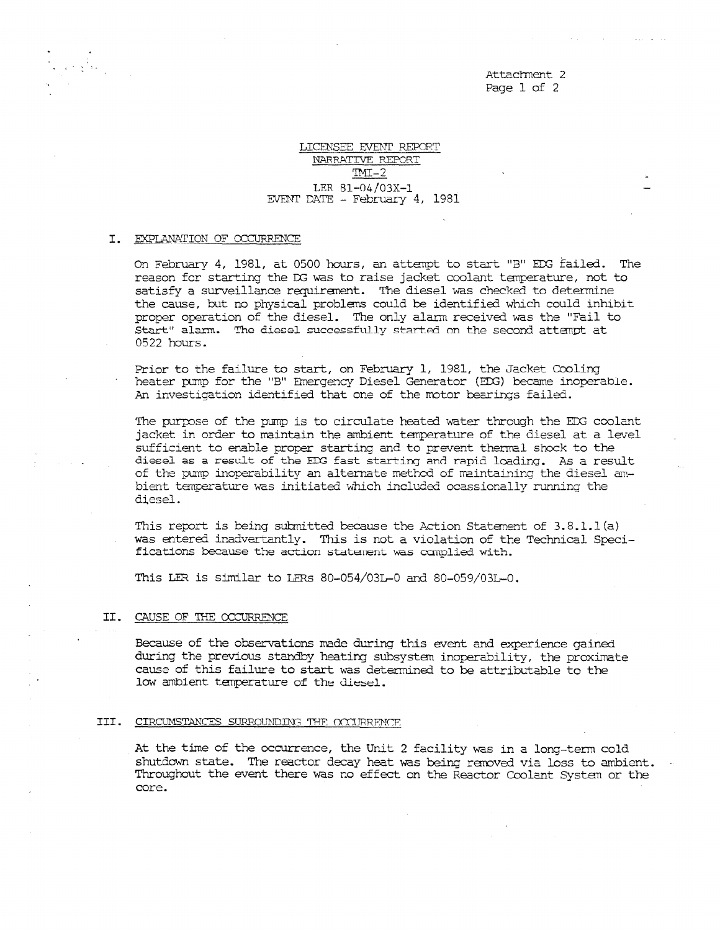Attachment 2 Page 1 of 2

\_

## LICENSEE EVENT REPORT NARRATIVE REPORT  $m-2$ LER 81-04/03X-1 EVENT DATE - February 4, 1981

#### I. EXPLANATION OF OCCURRENCE

,

On February 4, 1981, at 0500 hours, an attempt to start "3" EDG failed. The reason for starting the DG was to raise jacket coolant temperature, not to satisfy a surveillance requirement. The diesel was checked to determine the cause, but no physical problems could be identified which could inhibit proper operation of the diesel. The only alarm received was the "Fail to Start" alarm. The diesel successfully started en the second attempt at 0522 hours.

Prior to the failure to start, on February 1, 1981, the Jacket Cooling heater pump for the "B" Emergency Diesel Generator (EDG) became inoperable. An investigation identified that one of the motor bearings failed.

The purpose of the pump is to circulate heated water through the EDG coolant jacket in order to maintain the ambient temperature of the diesel at a level sufficient to enable proper starting and to prevent thermal shock to the diesel as a result of the EDO fast starting and rapid loading. As a result of the pump inoperability an alternate method of maintaining the diesel ambient temperature was initiated which included ocassionally urnning the diesel.

This report is being submitted because the Action Statement of 3.8.1.1(a) was entered inadvertantly. This is not a violation of the Technical Specifications because the action statement was complied with.

This LER is similar to LERs 80-054/03L-0 and 80-059/03L-0.

#### II. CAUSE OF THE OCCURRENCE

Because of the observations made during this event and experience gained during the previous standby heating subsystme inoperability, the proximate cause of this failure to start was determined to be attributable to the low ambient temperature of the diesel.

#### III. CIRCUMSTANCES SURROUNDING THE OCCURRFNCF.

At the time of the occurrence, the Unit 2 facility was in a long-term cold shutdown state. The reactor decay heat was being removed via loss to ambient. Throughout the event there was no effect on the Reactor Coolant System or the core.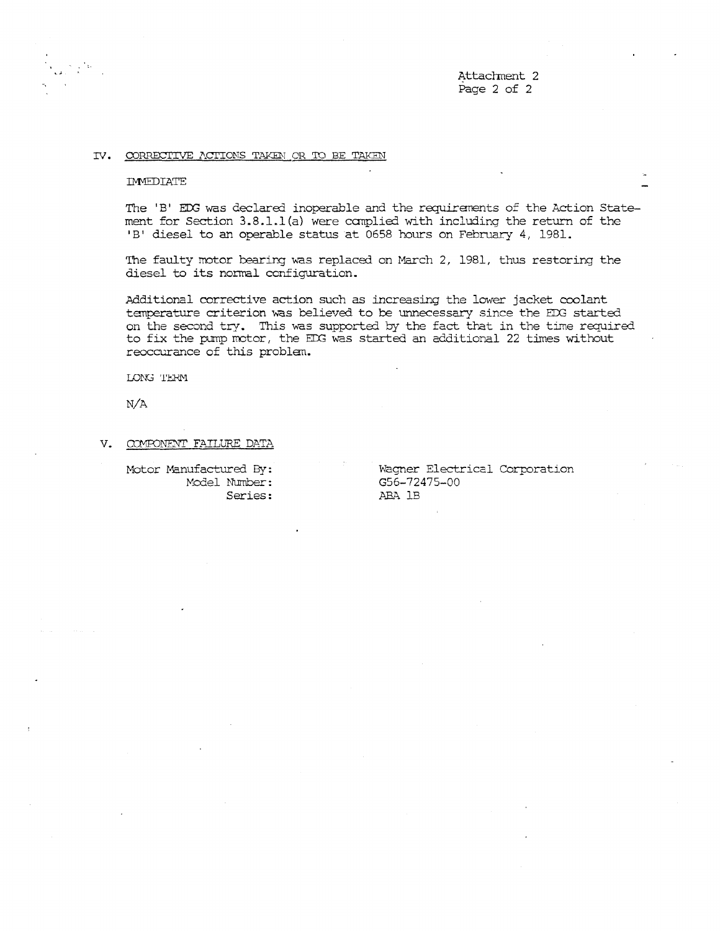Attachment 2 Page 2 of 2

> \_ \_

### IV. CORRECTIVE ACTIONS TAKEN OR TO BE TAKEN

#### **IMMEDIATE**

The 'B' EDG was declared inoperable and the requirements of the Action Statement for Section 3.8.1.1(a) were complied with including the return of the 'B' diesel to an operable status at 0658 hours on February 4, 1981.

The faulty motor bearing was replaced on March 2, 1981, thus restoring the diesel to its normal configuration.

Additional corrective action such as increasing the lower jacket coolant temperature criterion was believed to be unnecessary since the EDG started on the second try. This was supported by the fact that in the time required to fix the pump motor, the ECG was started an additional 22 times without reoccurance of this problem.

LONG TERM

N/A

#### V. COMPONENT FAILURE DATA

Model Number: G56-724<br>Series: ABA 1B Series:

Motor Manufactured By: Wagner Electrical Corporation<br>Model Number: G56-72475-00